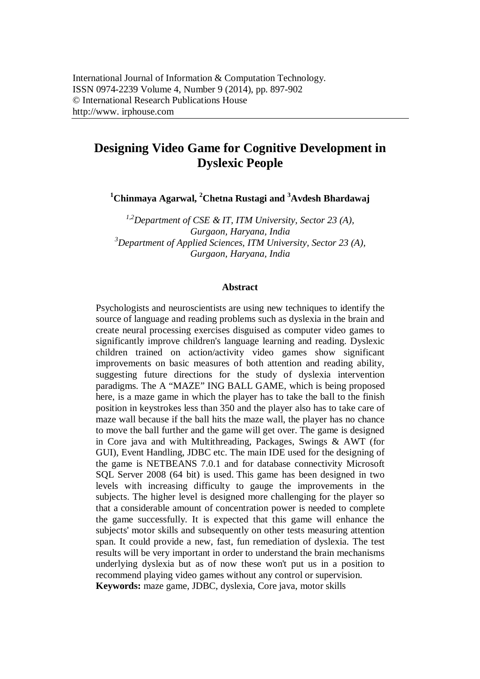# **Designing Video Game for Cognitive Development in Dyslexic People**

**<sup>1</sup>Chinmaya Agarwal, <sup>2</sup>Chetna Rustagi and <sup>3</sup>Avdesh Bhardawaj**

*1,2Department of CSE & IT, ITM University, Sector 23 (A), Gurgaon, Haryana, India <sup>3</sup>Department of Applied Sciences, ITM University, Sector 23 (A), Gurgaon, Haryana, India*

#### **Abstract**

Psychologists and neuroscientists are using new techniques to identify the source of language and reading problems such as dyslexia in the brain and create neural processing exercises disguised as computer video games to significantly improve children's language learning and reading. Dyslexic children trained on action/activity video games show significant improvements on basic measures of both attention and reading ability, suggesting future directions for the study of dyslexia intervention paradigms. The A "MAZE" ING BALL GAME, which is being proposed here, is a maze game in which the player has to take the ball to the finish position in keystrokes less than 350 and the player also has to take care of maze wall because if the ball hits the maze wall, the player has no chance to move the ball further and the game will get over. The game is designed in Core java and with Multithreading, Packages, Swings & AWT (for GUI), Event Handling, JDBC etc. The main IDE used for the designing of the game is NETBEANS 7.0.1 and for database connectivity Microsoft SQL Server 2008 (64 bit) is used. This game has been designed in two levels with increasing difficulty to gauge the improvements in the subjects. The higher level is designed more challenging for the player so that a considerable amount of concentration power is needed to complete the game successfully. It is expected that this game will enhance the subjects' motor skills and subsequently on other tests measuring attention span. It could provide a new, fast, fun remediation of dyslexia. The test results will be very important in order to understand the brain mechanisms underlying dyslexia but as of now these won't put us in a position to recommend playing video games without any control or supervision. **Keywords:** maze game, JDBC, dyslexia, Core java, motor skills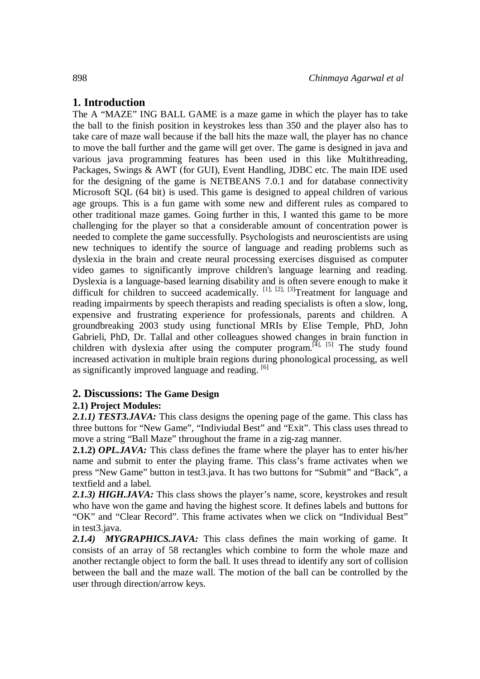# **1. Introduction**

The A "MAZE" ING BALL GAME is a maze game in which the player has to take the ball to the finish position in keystrokes less than 350 and the player also has to take care of maze wall because if the ball hits the maze wall, the player has no chance to move the ball further and the game will get over. The game is designed in java and various java programming features has been used in this like Multithreading, Packages, Swings & AWT (for GUI), Event Handling, JDBC etc. The main IDE used for the designing of the game is NETBEANS 7.0.1 and for database connectivity Microsoft SQL (64 bit) is used. This game is designed to appeal children of various age groups. This is a fun game with some new and different rules as compared to other traditional maze games. Going further in this, I wanted this game to be more challenging for the player so that a considerable amount of concentration power is needed to complete the game successfully. Psychologists and neuroscientists are using new techniques to identify the source of language and reading problems such as dyslexia in the brain and create neural processing exercises disguised as computer video games to significantly improve children's language learning and reading. Dyslexia is a language-based learning disability and is often severe enough to make it difficult for children to succeed academically.  $[1]$ ,  $[2]$ ,  $[3]$ Treatment for language and reading impairments by speech therapists and reading specialists is often a slow, long, expensive and frustrating experience for professionals, parents and children. A groundbreaking 2003 study using functional MRIs by Elise Temple, PhD, John Gabrieli, PhD, Dr. Tallal and other colleagues showed changes in brain function in children with dyslexia after using the computer program.<sup>[4], [5]</sup> The study found increased activation in multiple brain regions during phonological processing, as well as significantly improved language and reading.  $[6]$ 

#### **2. Discussions: The Game Design**

#### **2.1) Project Modules:**

2.1.1) TEST3.JAVA: This class designs the opening page of the game. This class has three buttons for "New Game", "Indiviudal Best" and "Exit". This class uses thread to move a string "Ball Maze" throughout the frame in a zig-zag manner.

**2.1.2)** *OPL.JAVA:* This class defines the frame where the player has to enter his/her name and submit to enter the playing frame. This class's frame activates when we press "New Game" button in test3.java. It has two buttons for "Submit" and "Back", a textfield and a label.

2.1.3) HIGH.JAVA: This class shows the player's name, score, keystrokes and result who have won the game and having the highest score. It defines labels and buttons for "OK" and "Clear Record". This frame activates when we click on "Individual Best" in test3.java.

*2.1.4) MYGRAPHICS.JAVA:* This class defines the main working of game. It consists of an array of 58 rectangles which combine to form the whole maze and another rectangle object to form the ball. It uses thread to identify any sort of collision between the ball and the maze wall. The motion of the ball can be controlled by the user through direction/arrow keys.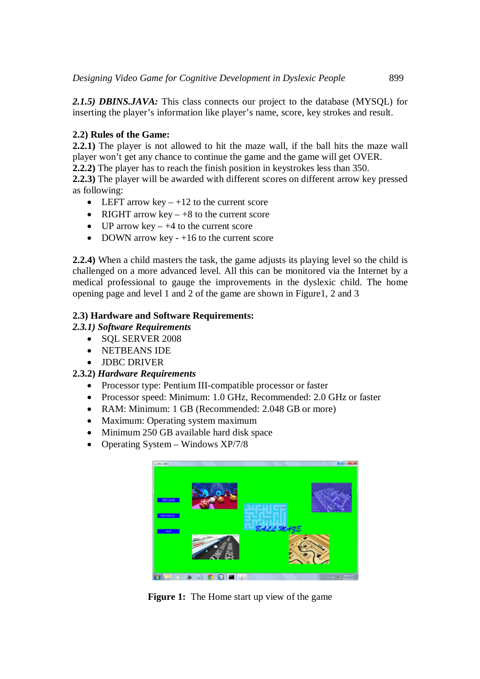*2.1.5) DBINS.JAVA:* This class connects our project to the database (MYSQL) for inserting the player's information like player's name, score, key strokes and result.

## **2.2) Rules of the Game:**

**2.2.1)** The player is not allowed to hit the maze wall, if the ball hits the maze wall player won't get any chance to continue the game and the game will get OVER.

**2.2.2)** The player has to reach the finish position in keystrokes less than 350.

**2.2.3)** The player will be awarded with different scores on different arrow key pressed as following:

- LEFT arrow key  $-12$  to the current score
- RIGHT arrow key  $+8$  to the current score
- $\bullet$  UP arrow key +4 to the current score
- DOWN arrow key  $-16$  to the current score

**2.2.4)** When a child masters the task, the game adjusts its playing level so the child is challenged on a more advanced level. All this can be monitored via the Internet by a medical professional to gauge the improvements in the dyslexic child. The home opening page and level 1 and 2 of the game are shown in Figure1, 2 and 3

### **2.3) Hardware and Software Requirements:**

*2.3.1) Software Requirements*

- SOL SERVER 2008
- NETBEANS IDE
- **JDBC DRIVER**

# **2.3.2)** *Hardware Requirements*

- Processor type: Pentium III-compatible processor or faster
- Processor speed: Minimum: 1.0 GHz, Recommended: 2.0 GHz or faster
- RAM: Minimum: 1 GB (Recommended: 2.048 GB or more)
- Maximum: Operating system maximum
- Minimum 250 GB available hard disk space
- Operating System Windows XP/7/8



**Figure 1:** The Home start up view of the game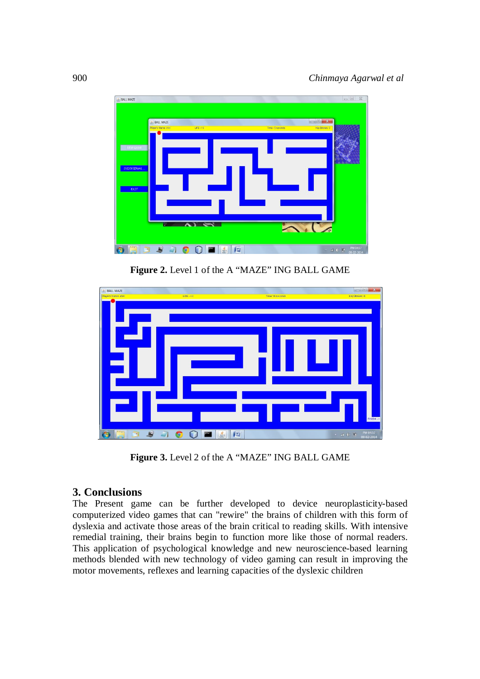

**Figure 2.** Level 1 of the A "MAZE" ING BALL GAME



**Figure 3.** Level 2 of the A "MAZE" ING BALL GAME

# **3. Conclusions**

The Present game can be further developed to device neuroplasticity-based computerized video games that can "rewire" the brains of children with this form of dyslexia and activate those areas of the brain critical to reading skills. With intensive remedial training, their brains begin to function more like those of normal readers. This application of psychological knowledge and new neuroscience-based learning methods blended with new technology of video gaming can result in improving the motor movements, reflexes and learning capacities of the dyslexic children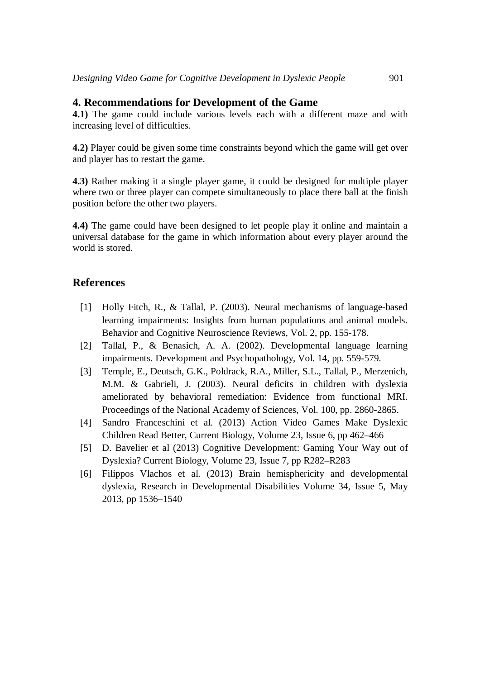#### **4. Recommendations for Development of the Game**

**4.1)** The game could include various levels each with a different maze and with increasing level of difficulties.

**4.2)** Player could be given some time constraints beyond which the game will get over and player has to restart the game.

**4.3)** Rather making it a single player game, it could be designed for multiple player where two or three player can compete simultaneously to place there ball at the finish position before the other two players.

**4.4)** The game could have been designed to let people play it online and maintain a universal database for the game in which information about every player around the world is stored.

#### **References**

- [1] Holly Fitch, R., & Tallal, P. (2003). Neural mechanisms of language-based learning impairments: Insights from human populations and animal models. Behavior and Cognitive Neuroscience Reviews, Vol. 2, pp. 155-178.
- [2] Tallal, P., & Benasich, A. A. (2002). Developmental language learning impairments. Development and Psychopathology, Vol. 14, pp. 559-579.
- [3] Temple, E., Deutsch, G.K., Poldrack, R.A., Miller, S.L., Tallal, P., Merzenich, M.M. & Gabrieli, J. (2003). Neural deficits in children with dyslexia ameliorated by behavioral remediation: Evidence from functional MRI. Proceedings of the National Academy of Sciences, Vol. 100, pp. 2860-2865.
- [4] Sandro Franceschini et al. (2013) Action Video Games Make Dyslexic Children Read Better, Current Biology, Volume 23, Issue 6, pp 462–466
- [5] D. Bavelier et al (2013) Cognitive Development: Gaming Your Way out of Dyslexia? Current Biology, Volume 23, Issue 7, pp R282–R283
- [6] Filippos Vlachos et al. (2013) Brain hemisphericity and developmental dyslexia, Research in Developmental Disabilities Volume 34, Issue 5, May 2013, pp 1536–1540